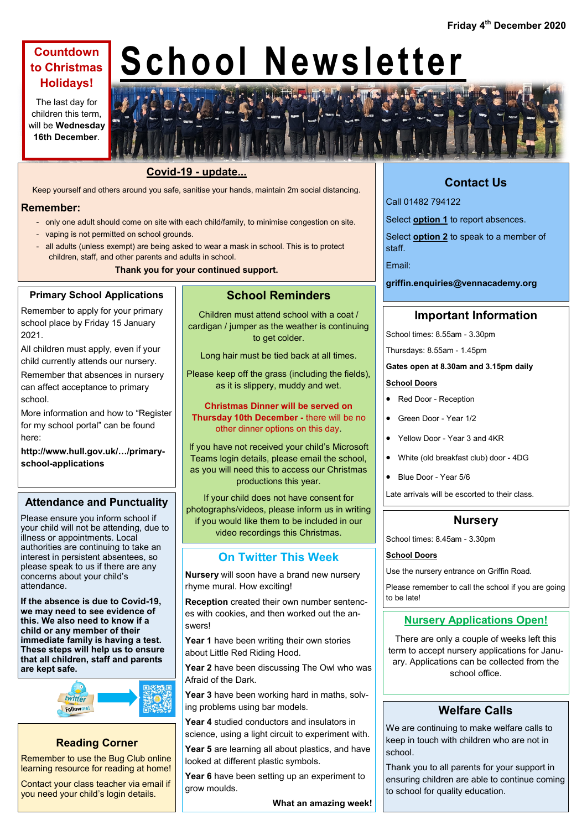# **Countdown to Christmas Holidays!**

The last day for children this term, will be **Wednesday 16th December**.

# **School Newsletter**



Keep yourself and others around you safe, sanitise your hands, maintain 2m social distancing.

#### **Remember:**

- only one adult should come on site with each child/family, to minimise congestion on site.
- vaping is not permitted on school grounds.
- all adults (unless exempt) are being asked to wear a mask in school. This is to protect children, staff, and other parents and adults in school.

**Thank you for your continued support.**

#### **Primary School Applications**

Remember to apply for your primary school place by Friday 15 January 2021.

All children must apply, even if your child currently attends our nursery.

Remember that absences in nursery can affect acceptance to primary school.

More information and how to "Register for my school portal" can be found here:

**http://www.hull.gov.uk/…/primaryschool-applications**

#### **Attendance and Punctuality**

Please ensure you inform school if your child will not be attending, due to illness or appointments. Local authorities are continuing to take an interest in persistent absentees, so please speak to us if there are any concerns about your child's attendance.

**If the absence is due to Covid-19, we may need to see evidence of this. We also need to know if a child or any member of their immediate family is having a test. These steps will help us to ensure that all children, staff and parents are kept safe.**



## **Reading Corner**

Remember to use the Bug Club online learning resource for reading at home!

Contact your class teacher via email if you need your child's login details.

#### **School Reminders**

Children must attend school with a coat / cardigan / jumper as the weather is continuing to get colder.

Long hair must be tied back at all times.

Please keep off the grass (including the fields), as it is slippery, muddy and wet.

**Christmas Dinner will be served on Thursday 10th December -** there will be no other dinner options on this day.

If you have not received your child's Microsoft Teams login details, please email the school, as you will need this to access our Christmas productions this year.

If your child does not have consent for photographs/videos, please inform us in writing if you would like them to be included in our video recordings this Christmas.

## **On Twitter This Week**

**Nursery** will soon have a brand new nursery rhyme mural. How exciting!

**Reception** created their own number sentences with cookies, and then worked out the answers!

**Year 1** have been writing their own stories about Little Red Riding Hood.

**Year 2** have been discussing The Owl who was Afraid of the Dark.

**Year 3** have been working hard in maths, solving problems using bar models.

**Year 4** studied conductors and insulators in science, using a light circuit to experiment with.

**Year 5** are learning all about plastics, and have looked at different plastic symbols.

**Year 6** have been setting up an experiment to grow moulds.

**What an amazing week!**

# **Contact Us**

Call 01482 794122

Select **option 1** to report absences.

Select **option 2** to speak to a member of staff.

Email:

**griffin.enquiries@vennacademy.org**

## **Important Information**

School times: 8.55am - 3.30pm

Thursdays: 8.55am - 1.45pm

#### **Gates open at 8.30am and 3.15pm daily**

#### **School Doors**

- Red Door Reception
- Green Door Year 1/2
- Yellow Door Year 3 and 4KR
- White (old breakfast club) door 4DG
- Blue Door Year 5/6

Late arrivals will be escorted to their class.

#### **Nursery**

School times: 8.45am - 3.30pm

#### **School Doors**

Use the nursery entrance on Griffin Road.

Please remember to call the school if you are going to be late!

## **Nursery Applications Open!**

There are only a couple of weeks left this term to accept nursery applications for January. Applications can be collected from the school office.

## **Welfare Calls**

We are continuing to make welfare calls to keep in touch with children who are not in school.

Thank you to all parents for your support in ensuring children are able to continue coming to school for quality education.